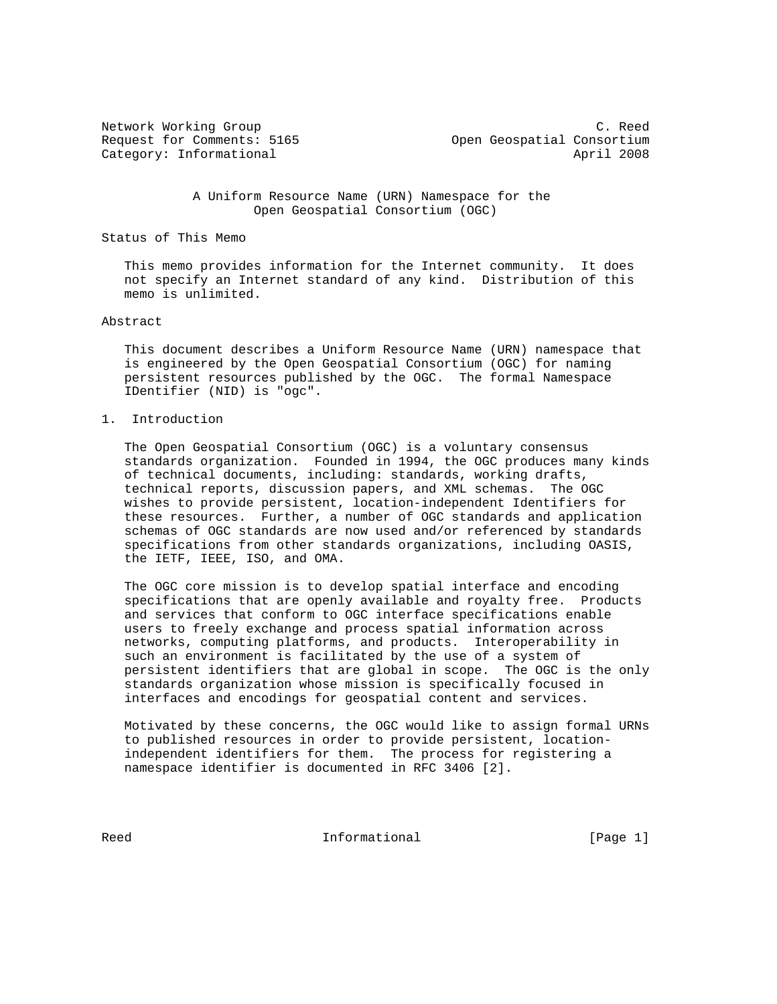Network Working Group C. Reed Request for Comments: 5165 Open Geospatial Consortium Category: Informational and April 2008

> A Uniform Resource Name (URN) Namespace for the Open Geospatial Consortium (OGC)

Status of This Memo

 This memo provides information for the Internet community. It does not specify an Internet standard of any kind. Distribution of this memo is unlimited.

## Abstract

 This document describes a Uniform Resource Name (URN) namespace that is engineered by the Open Geospatial Consortium (OGC) for naming persistent resources published by the OGC. The formal Namespace IDentifier (NID) is "ogc".

## 1. Introduction

 The Open Geospatial Consortium (OGC) is a voluntary consensus standards organization. Founded in 1994, the OGC produces many kinds of technical documents, including: standards, working drafts, technical reports, discussion papers, and XML schemas. The OGC wishes to provide persistent, location-independent Identifiers for these resources. Further, a number of OGC standards and application schemas of OGC standards are now used and/or referenced by standards specifications from other standards organizations, including OASIS, the IETF, IEEE, ISO, and OMA.

 The OGC core mission is to develop spatial interface and encoding specifications that are openly available and royalty free. Products and services that conform to OGC interface specifications enable users to freely exchange and process spatial information across networks, computing platforms, and products. Interoperability in such an environment is facilitated by the use of a system of persistent identifiers that are global in scope. The OGC is the only standards organization whose mission is specifically focused in interfaces and encodings for geospatial content and services.

 Motivated by these concerns, the OGC would like to assign formal URNs to published resources in order to provide persistent, location independent identifiers for them. The process for registering a namespace identifier is documented in RFC 3406 [2].

Reed **Informational** Informational [Page 1]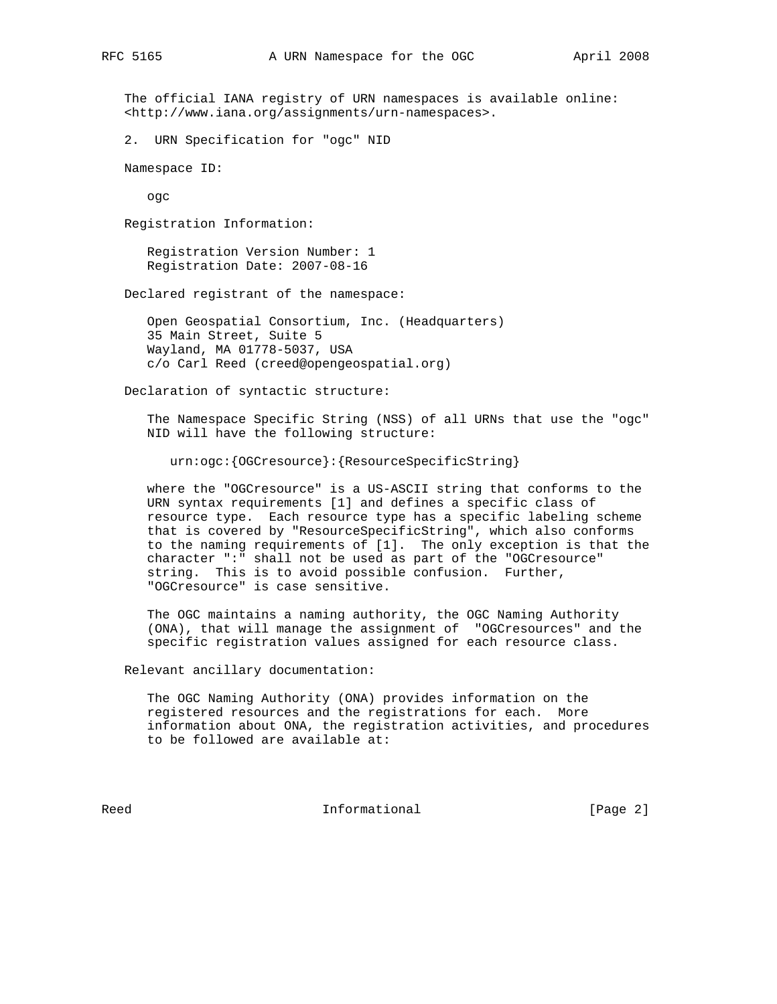The official IANA registry of URN namespaces is available online: <http://www.iana.org/assignments/urn-namespaces>.

2. URN Specification for "ogc" NID

Namespace ID:

ogc

Registration Information:

 Registration Version Number: 1 Registration Date: 2007-08-16

Declared registrant of the namespace:

 Open Geospatial Consortium, Inc. (Headquarters) 35 Main Street, Suite 5 Wayland, MA 01778-5037, USA c/o Carl Reed (creed@opengeospatial.org)

Declaration of syntactic structure:

 The Namespace Specific String (NSS) of all URNs that use the "ogc" NID will have the following structure:

urn:ogc:{OGCresource}:{ResourceSpecificString}

 where the "OGCresource" is a US-ASCII string that conforms to the URN syntax requirements [1] and defines a specific class of resource type. Each resource type has a specific labeling scheme that is covered by "ResourceSpecificString", which also conforms to the naming requirements of [1]. The only exception is that the character ":" shall not be used as part of the "OGCresource" string. This is to avoid possible confusion. Further, "OGCresource" is case sensitive.

 The OGC maintains a naming authority, the OGC Naming Authority (ONA), that will manage the assignment of "OGCresources" and the specific registration values assigned for each resource class.

Relevant ancillary documentation:

 The OGC Naming Authority (ONA) provides information on the registered resources and the registrations for each. More information about ONA, the registration activities, and procedures to be followed are available at:

Reed **Informational Informational Informational I**Page 2]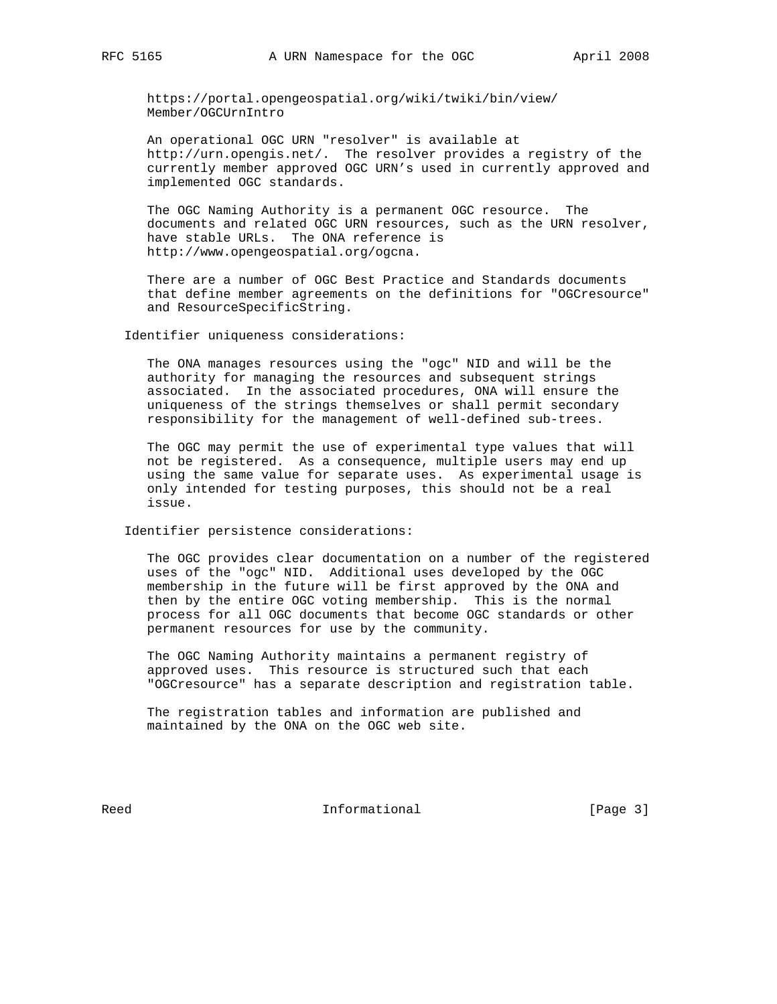https://portal.opengeospatial.org/wiki/twiki/bin/view/ Member/OGCUrnIntro

 An operational OGC URN "resolver" is available at http://urn.opengis.net/. The resolver provides a registry of the currently member approved OGC URN's used in currently approved and implemented OGC standards.

 The OGC Naming Authority is a permanent OGC resource. The documents and related OGC URN resources, such as the URN resolver, have stable URLs. The ONA reference is http://www.opengeospatial.org/ogcna.

 There are a number of OGC Best Practice and Standards documents that define member agreements on the definitions for "OGCresource" and ResourceSpecificString.

Identifier uniqueness considerations:

 The ONA manages resources using the "ogc" NID and will be the authority for managing the resources and subsequent strings associated. In the associated procedures, ONA will ensure the uniqueness of the strings themselves or shall permit secondary responsibility for the management of well-defined sub-trees.

 The OGC may permit the use of experimental type values that will not be registered. As a consequence, multiple users may end up using the same value for separate uses. As experimental usage is only intended for testing purposes, this should not be a real issue.

Identifier persistence considerations:

 The OGC provides clear documentation on a number of the registered uses of the "ogc" NID. Additional uses developed by the OGC membership in the future will be first approved by the ONA and then by the entire OGC voting membership. This is the normal process for all OGC documents that become OGC standards or other permanent resources for use by the community.

 The OGC Naming Authority maintains a permanent registry of approved uses. This resource is structured such that each "OGCresource" has a separate description and registration table.

 The registration tables and information are published and maintained by the ONA on the OGC web site.

Reed **Informational Informational** [Page 3]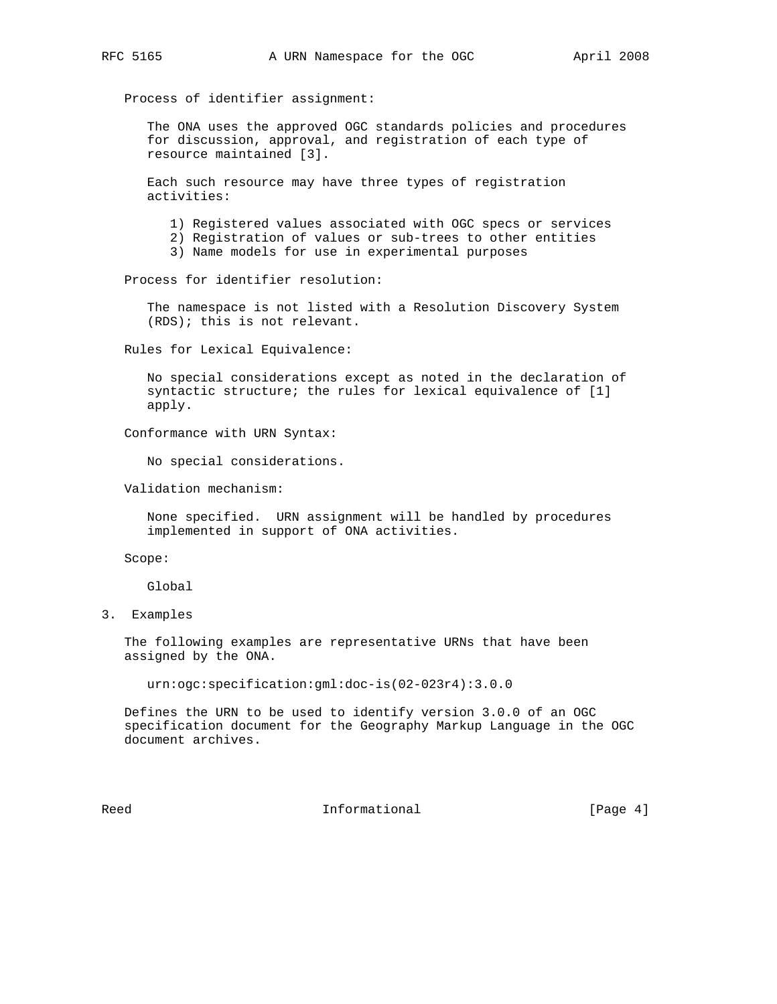Process of identifier assignment:

 The ONA uses the approved OGC standards policies and procedures for discussion, approval, and registration of each type of resource maintained [3].

 Each such resource may have three types of registration activities:

1) Registered values associated with OGC specs or services

2) Registration of values or sub-trees to other entities

3) Name models for use in experimental purposes

Process for identifier resolution:

 The namespace is not listed with a Resolution Discovery System (RDS); this is not relevant.

Rules for Lexical Equivalence:

 No special considerations except as noted in the declaration of syntactic structure; the rules for lexical equivalence of [1] apply.

Conformance with URN Syntax:

No special considerations.

Validation mechanism:

 None specified. URN assignment will be handled by procedures implemented in support of ONA activities.

Scope:

Global

3. Examples

 The following examples are representative URNs that have been assigned by the ONA.

urn:ogc:specification:gml:doc-is(02-023r4):3.0.0

 Defines the URN to be used to identify version 3.0.0 of an OGC specification document for the Geography Markup Language in the OGC document archives.

Reed **Informational Informational** [Page 4]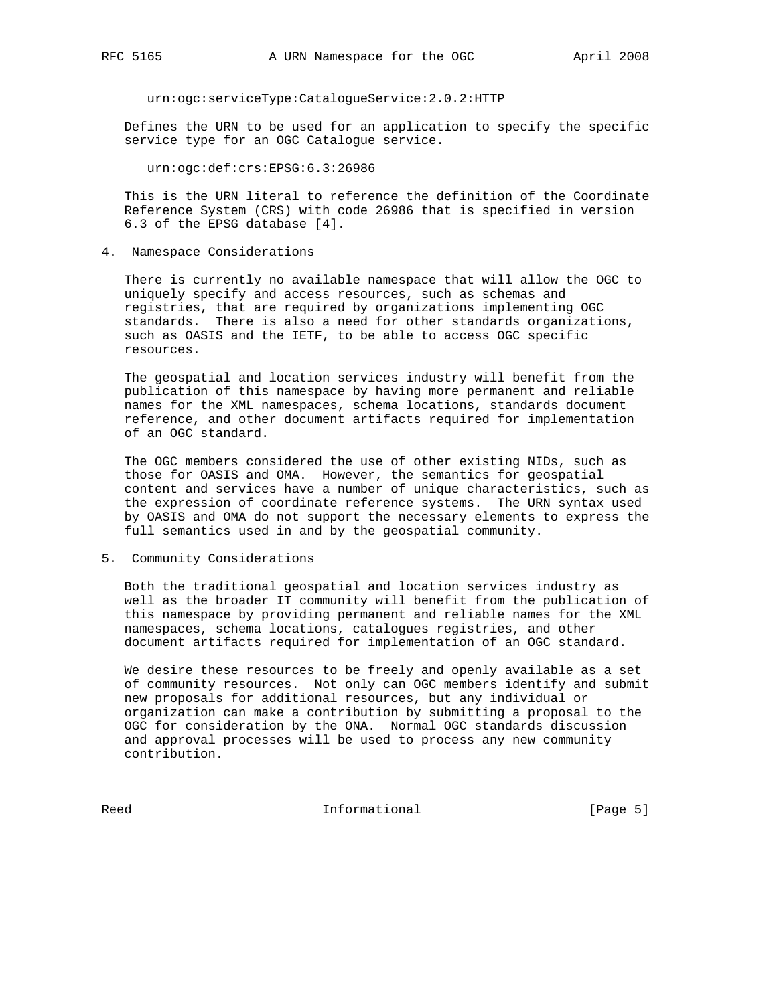urn:ogc:serviceType:CatalogueService:2.0.2:HTTP

 Defines the URN to be used for an application to specify the specific service type for an OGC Catalogue service.

urn:ogc:def:crs:EPSG:6.3:26986

 This is the URN literal to reference the definition of the Coordinate Reference System (CRS) with code 26986 that is specified in version 6.3 of the EPSG database [4].

4. Namespace Considerations

 There is currently no available namespace that will allow the OGC to uniquely specify and access resources, such as schemas and registries, that are required by organizations implementing OGC standards. There is also a need for other standards organizations, such as OASIS and the IETF, to be able to access OGC specific resources.

 The geospatial and location services industry will benefit from the publication of this namespace by having more permanent and reliable names for the XML namespaces, schema locations, standards document reference, and other document artifacts required for implementation of an OGC standard.

 The OGC members considered the use of other existing NIDs, such as those for OASIS and OMA. However, the semantics for geospatial content and services have a number of unique characteristics, such as the expression of coordinate reference systems. The URN syntax used by OASIS and OMA do not support the necessary elements to express the full semantics used in and by the geospatial community.

5. Community Considerations

 Both the traditional geospatial and location services industry as well as the broader IT community will benefit from the publication of this namespace by providing permanent and reliable names for the XML namespaces, schema locations, catalogues registries, and other document artifacts required for implementation of an OGC standard.

 We desire these resources to be freely and openly available as a set of community resources. Not only can OGC members identify and submit new proposals for additional resources, but any individual or organization can make a contribution by submitting a proposal to the OGC for consideration by the ONA. Normal OGC standards discussion and approval processes will be used to process any new community contribution.

Reed **Informational Informational** [Page 5]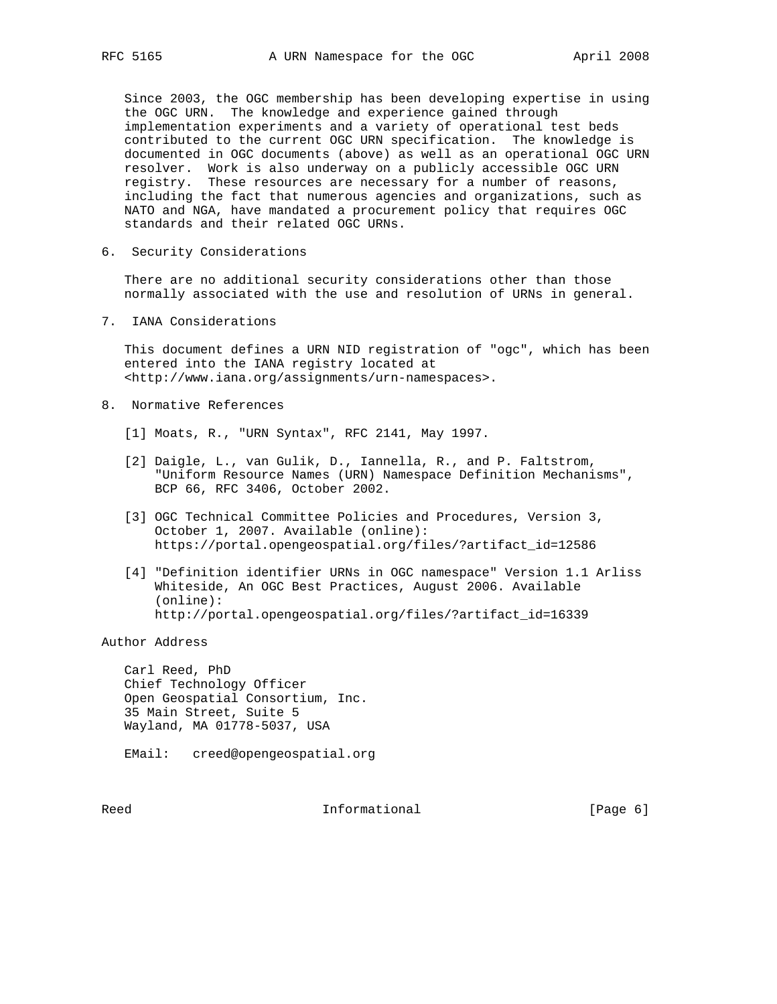Since 2003, the OGC membership has been developing expertise in using the OGC URN. The knowledge and experience gained through implementation experiments and a variety of operational test beds contributed to the current OGC URN specification. The knowledge is documented in OGC documents (above) as well as an operational OGC URN resolver. Work is also underway on a publicly accessible OGC URN registry. These resources are necessary for a number of reasons, including the fact that numerous agencies and organizations, such as NATO and NGA, have mandated a procurement policy that requires OGC standards and their related OGC URNs.

6. Security Considerations

 There are no additional security considerations other than those normally associated with the use and resolution of URNs in general.

7. IANA Considerations

 This document defines a URN NID registration of "ogc", which has been entered into the IANA registry located at <http://www.iana.org/assignments/urn-namespaces>.

- 8. Normative References
	- [1] Moats, R., "URN Syntax", RFC 2141, May 1997.
	- [2] Daigle, L., van Gulik, D., Iannella, R., and P. Faltstrom, "Uniform Resource Names (URN) Namespace Definition Mechanisms", BCP 66, RFC 3406, October 2002.
	- [3] OGC Technical Committee Policies and Procedures, Version 3, October 1, 2007. Available (online): https://portal.opengeospatial.org/files/?artifact\_id=12586
	- [4] "Definition identifier URNs in OGC namespace" Version 1.1 Arliss Whiteside, An OGC Best Practices, August 2006. Available (online): http://portal.opengeospatial.org/files/?artifact\_id=16339

Author Address

 Carl Reed, PhD Chief Technology Officer Open Geospatial Consortium, Inc. 35 Main Street, Suite 5 Wayland, MA 01778-5037, USA

EMail: creed@opengeospatial.org

Reed **Informational Informational Informational Reed** [Page 6]